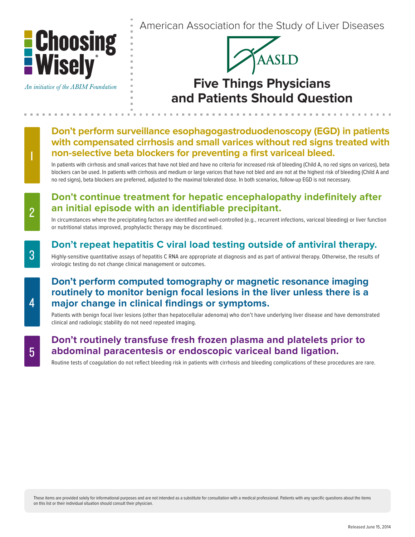

An initiative of the ABIM Foundation

American Association for the Study of Liver Diseases



# **Five Things Physicians and Patients Should Question**

**Don't perform surveillance esophagogastroduodenoscopy (EGD) in patients with compensated cirrhosis and small varices without red signs treated with non-selective beta blockers for preventing a first variceal bleed.**

In patients with cirrhosis and small varices that have not bled and have no criteria for increased risk of bleeding (Child A, no red signs on varices), beta blockers can be used. In patients with cirrhosis and medium or large varices that have not bled and are not at the highest risk of bleeding (Child A and no red signs), beta blockers are preferred, adjusted to the maximal tolerated dose. In both scenarios, follow-up EGD is not necessary.

### **Don't continue treatment for hepatic encephalopathy indefinitely after an initial episode with an identifiable precipitant.**

In circumstances where the precipitating factors are identified and well-controlled (e.g., recurrent infections, variceal bleeding) or liver function or nutritional status improved, prophylactic therapy may be discontinued.

#### **Don't repeat hepatitis C viral load testing outside of antiviral therapy.**

Highly-sensitive quantitative assays of hepatitis C RNA are appropriate at diagnosis and as part of antiviral therapy. Otherwise, the results of virologic testing do not change clinical management or outcomes.

### **Don't perform computed tomography or magnetic resonance imaging routinely to monitor benign focal lesions in the liver unless there is a major change in clinical findings or symptoms.**

Patients with benign focal liver lesions (other than hepatocellular adenoma) who don't have underlying liver disease and have demonstrated clinical and radiologic stability do not need repeated imaging.

#### **Don't routinely transfuse fresh frozen plasma and platelets prior to abdominal paracentesis or endoscopic variceal band ligation.**

Routine tests of coagulation do not reflect bleeding risk in patients with cirrhosis and bleeding complications of these procedures are rare.

1

4

2

These items are provided solely for informational purposes and are not intended as a substitute for consultation with a medical professional. Patients with any specific questions about the items on this list or their individual situation should consult their physician.